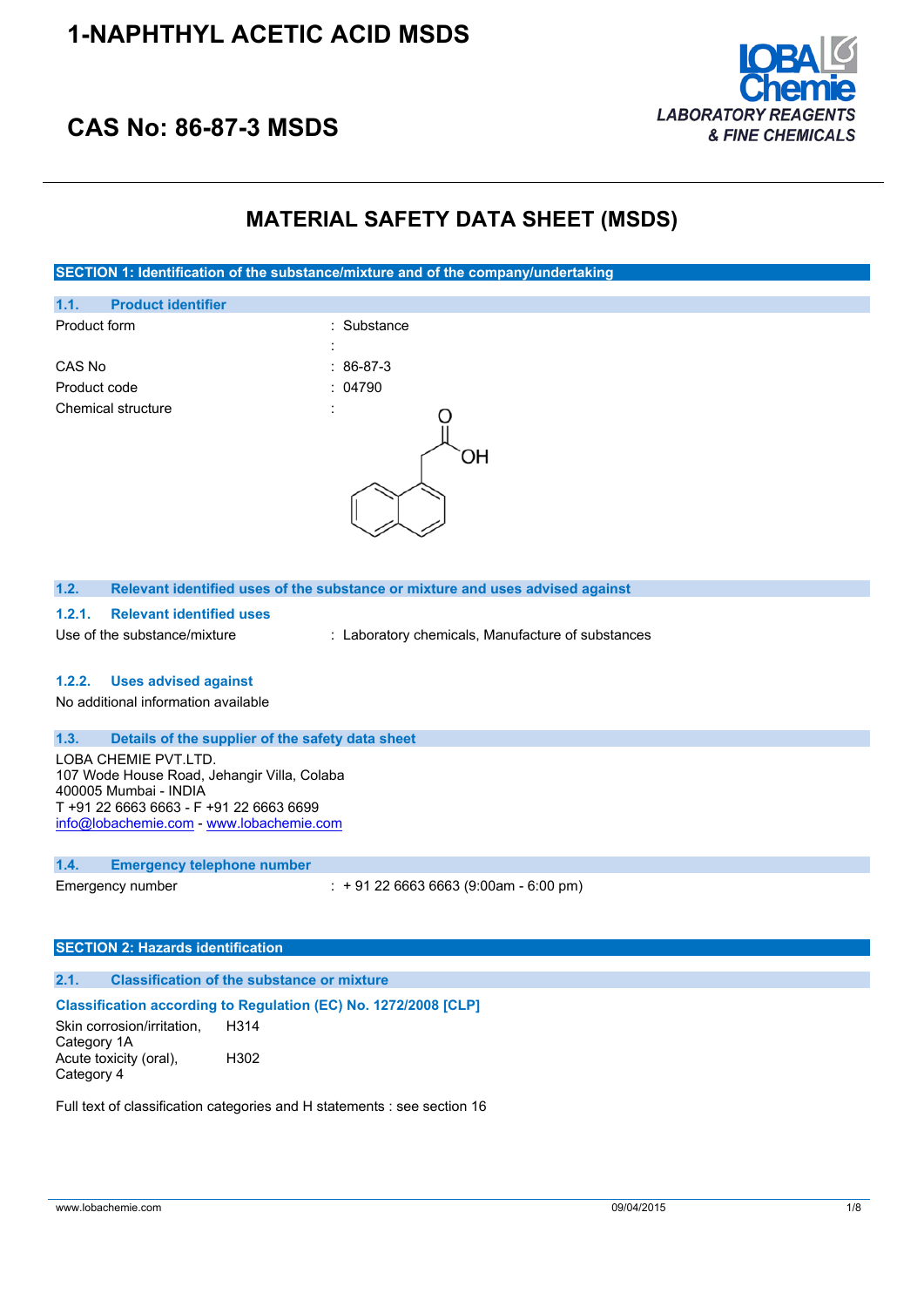## **1-NAPHTHYL ACETIC ACID MSDS**



## **CAS No: 86-87-3 MSDS**

## **MATERIAL SAFETY DATA SHEET (MSDS)**

**SECTION 1: Identification of the substance/mixture and of the company/undertaking**



#### **1.2. Relevant identified uses of the substance or mixture and uses advised against**

#### **1.2.1. Relevant identified uses**

Use of the substance/mixture : Laboratory chemicals, Manufacture of substances

### **1.2.2. Uses advised against**

No additional information available

### **1.3. Details of the supplier of the safety data sheet**

LOBA CHEMIE PVT.LTD. 107 Wode House Road, Jehangir Villa, Colaba 400005 Mumbai - INDIA T +91 22 6663 6663 - F +91 22 6663 6699 [info@lobachemie.com](mailto:info@lobachemie.com) - <www.lobachemie.com>

#### **1.4. Emergency telephone number**

Emergency number : + 91 22 6663 6663 (9:00am - 6:00 pm)

#### **SECTION 2: Hazards identification**

#### **2.1. Classification of the substance or mixture**

#### **Classification according to Regulation (EC) No. 1272/2008 [CLP]**

Skin corrosion/irritation, Category 1A H314 Acute toxicity (oral), Category 4 H302

Full text of classification categories and H statements : see section 16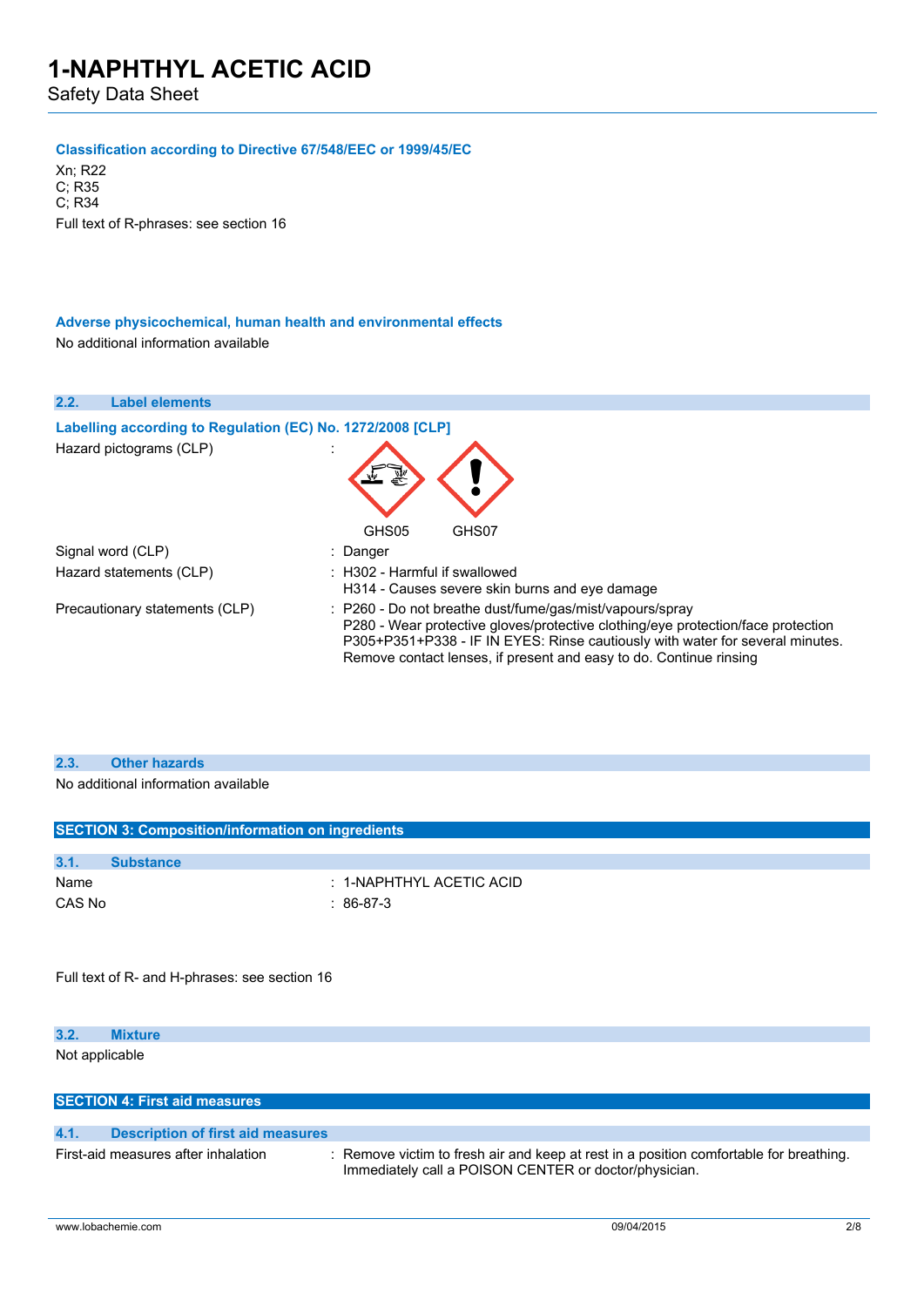Safety Data Sheet

### **Classification according to Directive 67/548/EEC or 1999/45/EC**

Xn; R22 C; R35 C; R34 Full text of R-phrases: see section 16

### **Adverse physicochemical, human health and environmental effects** No additional information available

| 2.2.              | <b>Label elements</b>                                      |                                                                                                                                                                                                                                                                                                     |
|-------------------|------------------------------------------------------------|-----------------------------------------------------------------------------------------------------------------------------------------------------------------------------------------------------------------------------------------------------------------------------------------------------|
|                   | Labelling according to Regulation (EC) No. 1272/2008 [CLP] |                                                                                                                                                                                                                                                                                                     |
|                   | Hazard pictograms (CLP)                                    |                                                                                                                                                                                                                                                                                                     |
|                   |                                                            | GHS05<br>GHS07                                                                                                                                                                                                                                                                                      |
| Signal word (CLP) |                                                            | : Danger                                                                                                                                                                                                                                                                                            |
|                   | Hazard statements (CLP)                                    | $\pm$ H302 - Harmful if swallowed<br>H314 - Causes severe skin burns and eve damage                                                                                                                                                                                                                 |
|                   | Precautionary statements (CLP)                             | : P260 - Do not breathe dust/fume/gas/mist/vapours/spray<br>P280 - Wear protective gloves/protective clothing/eye protection/face protection<br>P305+P351+P338 - IF IN EYES: Rinse cautiously with water for several minutes.<br>Remove contact lenses, if present and easy to do. Continue rinsing |

### **2.3. Other hazards**

No additional information available

|                | <b>SECTION 3: Composition/information on ingredients</b> |                                                                                                                                                 |
|----------------|----------------------------------------------------------|-------------------------------------------------------------------------------------------------------------------------------------------------|
| 3.1.           | <b>Substance</b>                                         |                                                                                                                                                 |
| Name<br>CAS No |                                                          | $: 1$ -NAPHTHYL ACETIC ACID<br>$: 86-87-3$                                                                                                      |
|                | Full text of R- and H-phrases: see section 16            |                                                                                                                                                 |
| 3.2.           | <b>Mixture</b>                                           |                                                                                                                                                 |
| Not applicable |                                                          |                                                                                                                                                 |
|                | <b>SECTION 4: First aid measures</b>                     |                                                                                                                                                 |
| 4.1.           | <b>Description of first aid measures</b>                 |                                                                                                                                                 |
|                | First-aid measures after inhalation                      | : Remove victim to fresh air and keep at rest in a position comfortable for breathing.<br>Immediately call a POISON CENTER or doctor/physician. |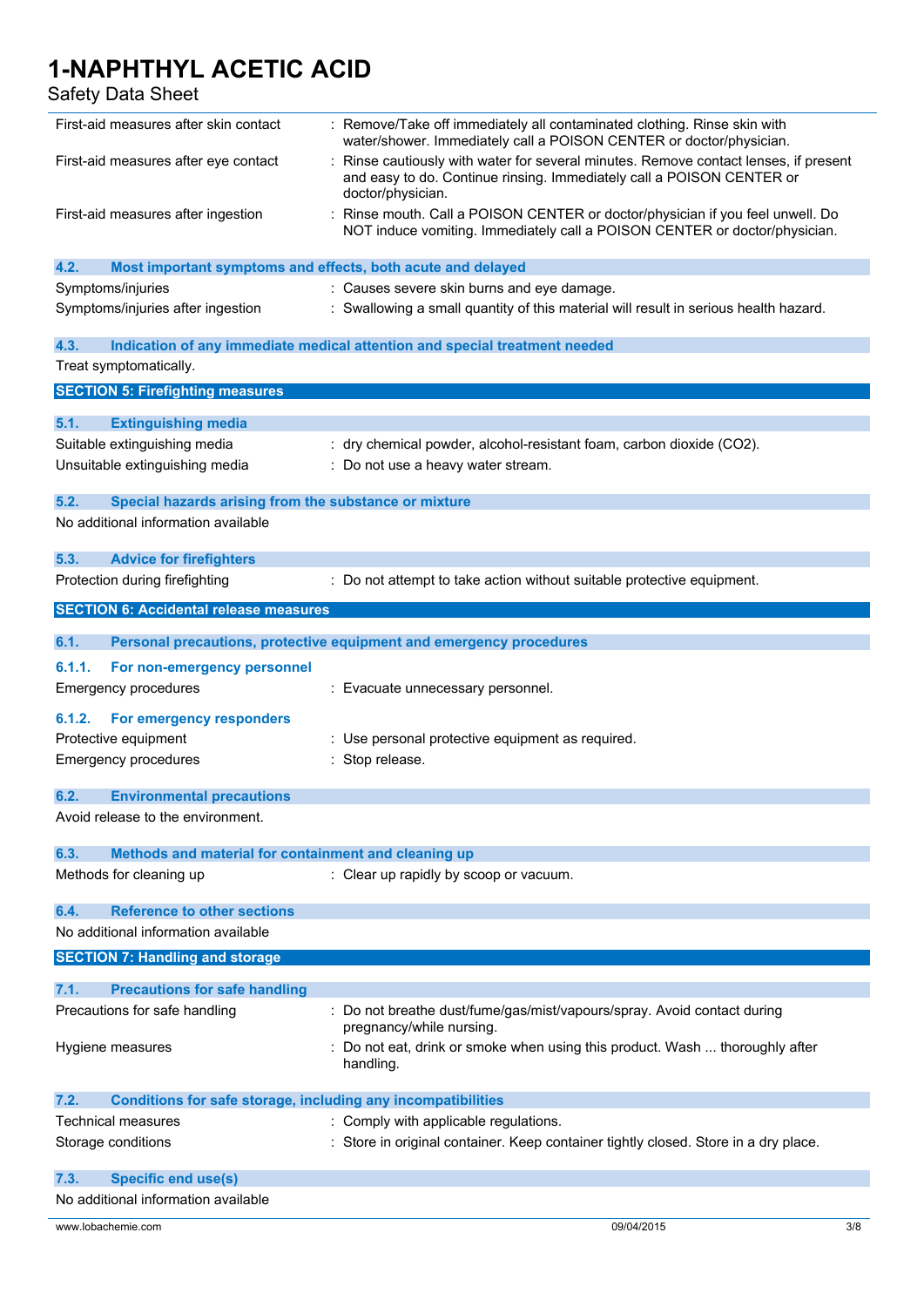Safety Data Sheet

| First-aid measures after skin contact                                       | : Remove/Take off immediately all contaminated clothing. Rinse skin with<br>water/shower. Immediately call a POISON CENTER or doctor/physician.                                  |
|-----------------------------------------------------------------------------|----------------------------------------------------------------------------------------------------------------------------------------------------------------------------------|
| First-aid measures after eye contact                                        | Rinse cautiously with water for several minutes. Remove contact lenses, if present<br>and easy to do. Continue rinsing. Immediately call a POISON CENTER or<br>doctor/physician. |
| First-aid measures after ingestion                                          | Rinse mouth. Call a POISON CENTER or doctor/physician if you feel unwell. Do<br>NOT induce vomiting. Immediately call a POISON CENTER or doctor/physician.                       |
| 4.2.<br>Most important symptoms and effects, both acute and delayed         |                                                                                                                                                                                  |
| Symptoms/injuries                                                           | : Causes severe skin burns and eye damage.                                                                                                                                       |
| Symptoms/injuries after ingestion                                           | : Swallowing a small quantity of this material will result in serious health hazard.                                                                                             |
| 4.3.                                                                        | Indication of any immediate medical attention and special treatment needed                                                                                                       |
| Treat symptomatically.                                                      |                                                                                                                                                                                  |
| <b>SECTION 5: Firefighting measures</b>                                     |                                                                                                                                                                                  |
| 5.1.<br><b>Extinguishing media</b>                                          |                                                                                                                                                                                  |
| Suitable extinguishing media                                                | : dry chemical powder, alcohol-resistant foam, carbon dioxide (CO2).                                                                                                             |
| Unsuitable extinguishing media                                              | : Do not use a heavy water stream.                                                                                                                                               |
|                                                                             |                                                                                                                                                                                  |
| 5.2.<br>Special hazards arising from the substance or mixture               |                                                                                                                                                                                  |
| No additional information available                                         |                                                                                                                                                                                  |
| 5.3.<br><b>Advice for firefighters</b>                                      |                                                                                                                                                                                  |
| Protection during firefighting                                              | : Do not attempt to take action without suitable protective equipment.                                                                                                           |
| <b>SECTION 6: Accidental release measures</b>                               |                                                                                                                                                                                  |
| 6.1.                                                                        | Personal precautions, protective equipment and emergency procedures                                                                                                              |
| 6.1.1.<br>For non-emergency personnel                                       |                                                                                                                                                                                  |
| <b>Emergency procedures</b>                                                 | : Evacuate unnecessary personnel.                                                                                                                                                |
| 6.1.2.<br>For emergency responders                                          |                                                                                                                                                                                  |
| Protective equipment                                                        | : Use personal protective equipment as required.                                                                                                                                 |
| Emergency procedures                                                        | : Stop release.                                                                                                                                                                  |
|                                                                             |                                                                                                                                                                                  |
| 6.2.<br><b>Environmental precautions</b>                                    |                                                                                                                                                                                  |
| Avoid release to the environment.                                           |                                                                                                                                                                                  |
| 6.3.<br>Methods and material for containment and cleaning up                |                                                                                                                                                                                  |
| Methods for cleaning up                                                     | : Clear up rapidly by scoop or vacuum.                                                                                                                                           |
| <b>Reference to other sections</b><br>6.4.                                  |                                                                                                                                                                                  |
| No additional information available                                         |                                                                                                                                                                                  |
| <b>SECTION 7: Handling and storage</b>                                      |                                                                                                                                                                                  |
| <b>Precautions for safe handling</b><br>7.1.                                |                                                                                                                                                                                  |
| Precautions for safe handling                                               | Do not breathe dust/fume/gas/mist/vapours/spray. Avoid contact during<br>pregnancy/while nursing.                                                                                |
| Hygiene measures                                                            | Do not eat, drink or smoke when using this product. Wash  thoroughly after<br>handling.                                                                                          |
| <b>Conditions for safe storage, including any incompatibilities</b><br>7.2. |                                                                                                                                                                                  |
| Technical measures                                                          | : Comply with applicable regulations.                                                                                                                                            |
| Storage conditions                                                          | : Store in original container. Keep container tightly closed. Store in a dry place.                                                                                              |
| <b>Specific end use(s)</b><br>7.3.                                          |                                                                                                                                                                                  |
| No additional information available                                         |                                                                                                                                                                                  |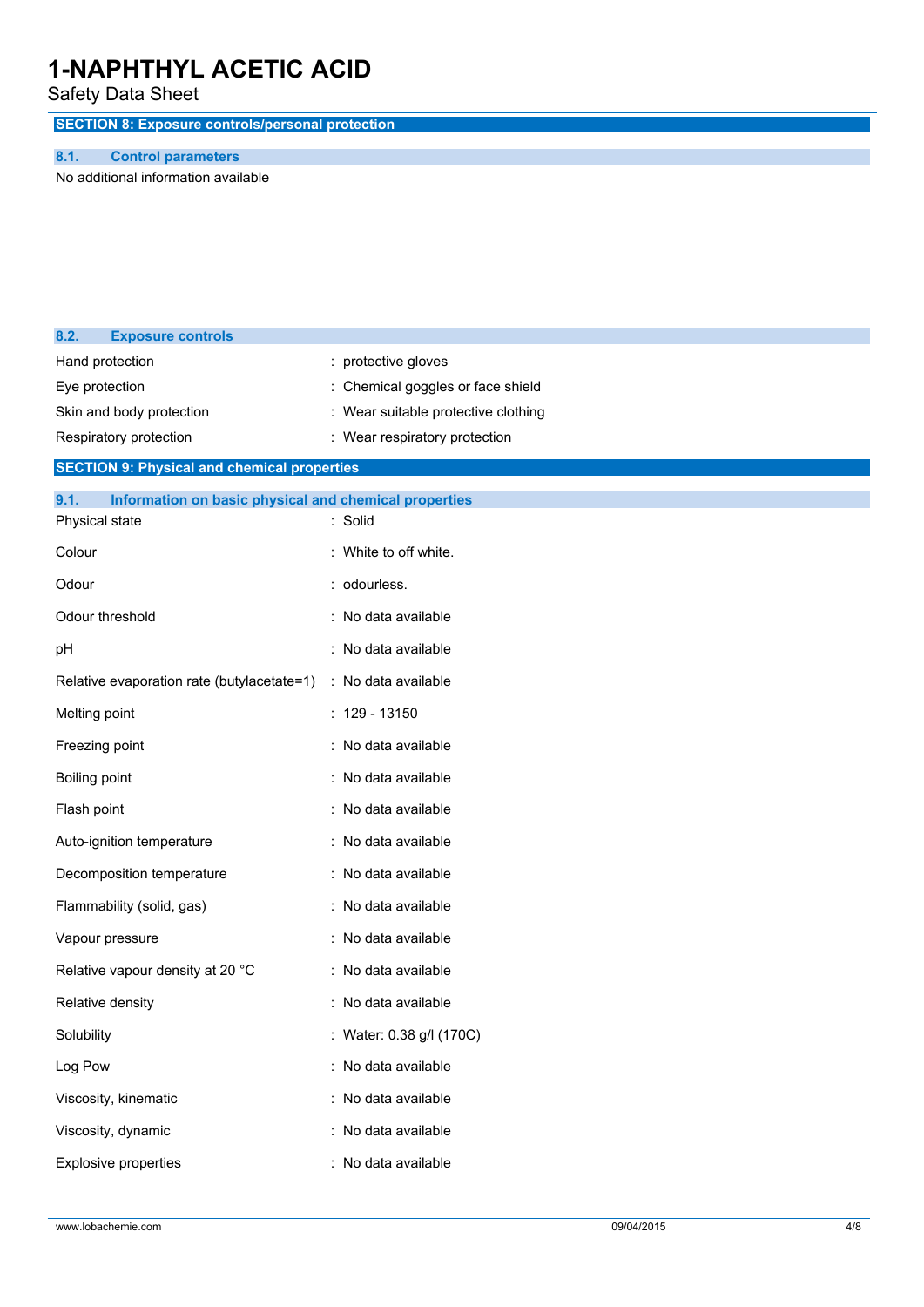Safety Data Sheet

**SECTION 8: Exposure controls/personal protection**

### **8.1. Control parameters**

No additional information available

| 8.2.                        | <b>Exposure controls</b>                              |                                   |
|-----------------------------|-------------------------------------------------------|-----------------------------------|
|                             | Hand protection                                       | protective gloves                 |
| Eye protection              |                                                       | Chemical goggles or face shield   |
|                             | Skin and body protection                              | Wear suitable protective clothing |
|                             | Respiratory protection                                | : Wear respiratory protection     |
|                             | <b>SECTION 9: Physical and chemical properties</b>    |                                   |
| 9.1.                        | Information on basic physical and chemical properties |                                   |
|                             | Physical state                                        | : Solid                           |
| Colour                      |                                                       | White to off white.               |
| Odour                       |                                                       | odourless.                        |
|                             | Odour threshold                                       | No data available                 |
| pH                          |                                                       | : No data available               |
|                             | Relative evaporation rate (butylacetate=1)            | : No data available               |
| Melting point               |                                                       | $: 129 - 13150$                   |
|                             | Freezing point                                        | : No data available               |
| Boiling point               |                                                       | : No data available               |
| Flash point                 |                                                       | : No data available               |
|                             | Auto-ignition temperature                             | No data available                 |
|                             | Decomposition temperature                             | : No data available               |
|                             | Flammability (solid, gas)                             | No data available                 |
|                             | Vapour pressure                                       | No data available                 |
|                             | Relative vapour density at 20 °C                      | : No data available               |
|                             | Relative density                                      | No data available                 |
| Solubility                  |                                                       | : Water: 0.38 g/l (170C)          |
| Log Pow                     |                                                       | : No data available               |
|                             | Viscosity, kinematic                                  | : No data available               |
|                             | Viscosity, dynamic                                    | : No data available               |
| <b>Explosive properties</b> |                                                       | : No data available               |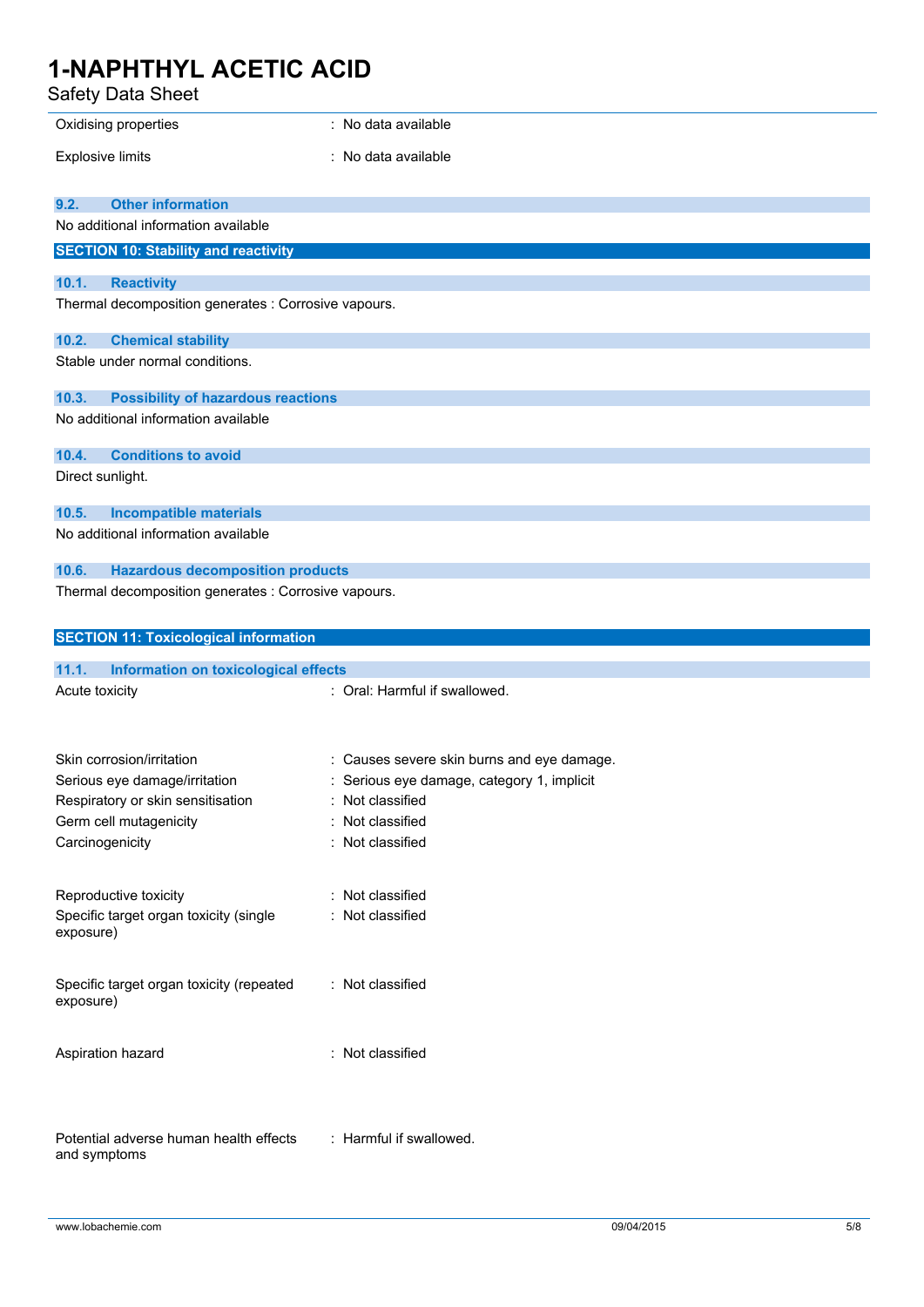Safety Data Sheet

| Safety Data Sheet                                     |                                                                                          |
|-------------------------------------------------------|------------------------------------------------------------------------------------------|
| Oxidising properties                                  | : No data available                                                                      |
| <b>Explosive limits</b>                               | : No data available                                                                      |
|                                                       |                                                                                          |
| <b>Other information</b><br>9.2.                      |                                                                                          |
| No additional information available                   |                                                                                          |
| <b>SECTION 10: Stability and reactivity</b>           |                                                                                          |
| 10.1.<br><b>Reactivity</b>                            |                                                                                          |
| Thermal decomposition generates : Corrosive vapours.  |                                                                                          |
| 10.2.<br><b>Chemical stability</b>                    |                                                                                          |
| Stable under normal conditions.                       |                                                                                          |
| 10.3.<br><b>Possibility of hazardous reactions</b>    |                                                                                          |
| No additional information available                   |                                                                                          |
| <b>Conditions to avoid</b><br>10.4.                   |                                                                                          |
| Direct sunlight.                                      |                                                                                          |
| 10.5.<br><b>Incompatible materials</b>                |                                                                                          |
| No additional information available                   |                                                                                          |
| <b>Hazardous decomposition products</b><br>10.6.      |                                                                                          |
| Thermal decomposition generates : Corrosive vapours.  |                                                                                          |
|                                                       |                                                                                          |
|                                                       |                                                                                          |
| <b>SECTION 11: Toxicological information</b>          |                                                                                          |
| 11.1.<br>Information on toxicological effects         |                                                                                          |
| Acute toxicity                                        | : Oral: Harmful if swallowed.                                                            |
|                                                       |                                                                                          |
| Skin corrosion/irritation                             |                                                                                          |
| Serious eye damage/irritation                         | : Causes severe skin burns and eye damage.<br>: Serious eye damage, category 1, implicit |
| Respiratory or skin sensitisation                     | : Not classified                                                                         |
| Germ cell mutagenicity                                | Not classified                                                                           |
| Carcinogenicity                                       | : Not classified                                                                         |
|                                                       |                                                                                          |
| Reproductive toxicity                                 | : Not classified                                                                         |
| Specific target organ toxicity (single<br>exposure)   | : Not classified                                                                         |
|                                                       |                                                                                          |
| Specific target organ toxicity (repeated<br>exposure) | : Not classified                                                                         |
|                                                       |                                                                                          |
| Aspiration hazard                                     | : Not classified                                                                         |
|                                                       |                                                                                          |
| Potential adverse human health effects                | : Harmful if swallowed.                                                                  |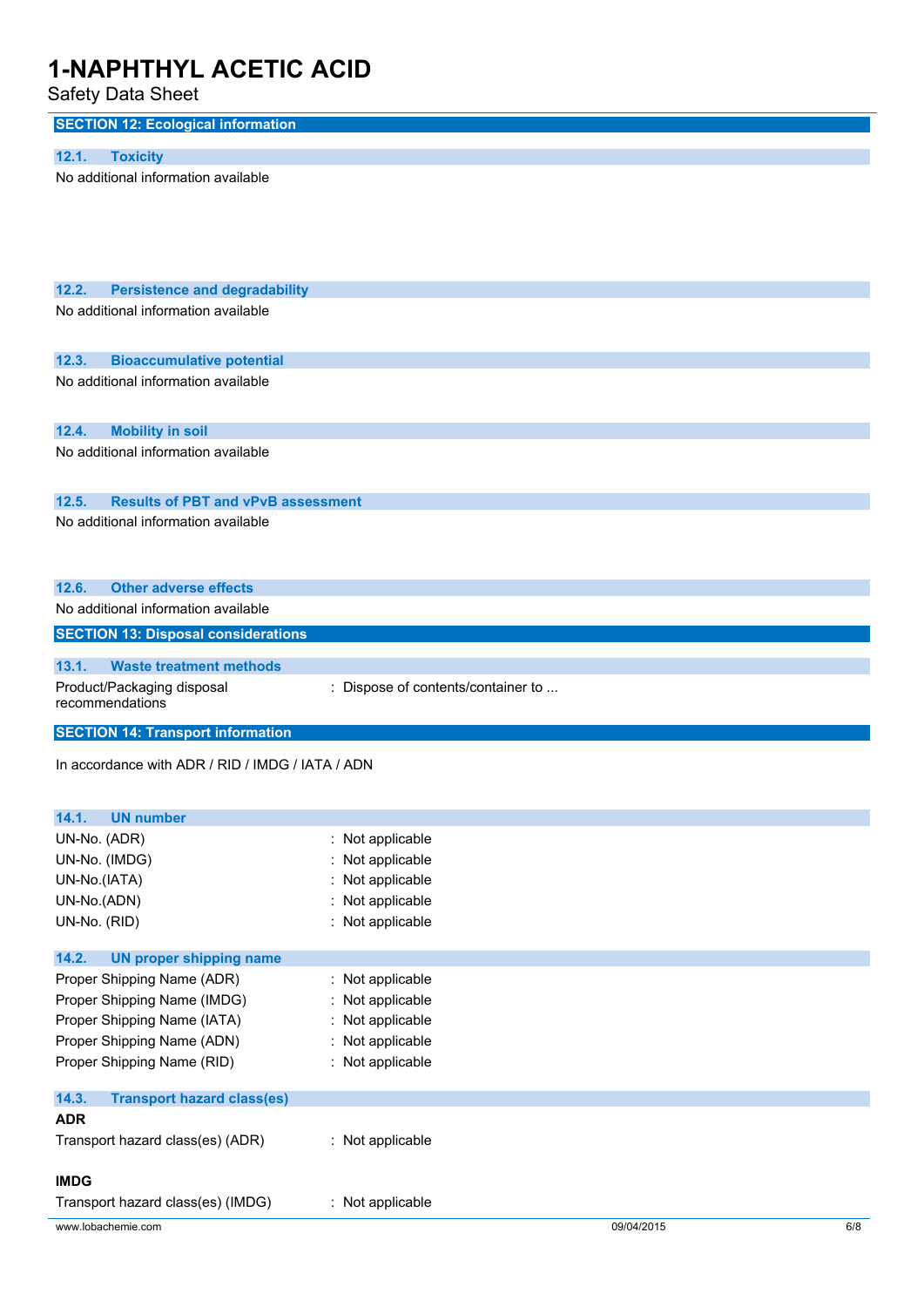Safety Data Sheet

| <b>SECTION 12: Ecological information</b>                                                 |                                        |            |     |
|-------------------------------------------------------------------------------------------|----------------------------------------|------------|-----|
| <b>Toxicity</b><br>12.1.                                                                  |                                        |            |     |
| No additional information available                                                       |                                        |            |     |
|                                                                                           |                                        |            |     |
|                                                                                           |                                        |            |     |
|                                                                                           |                                        |            |     |
|                                                                                           |                                        |            |     |
| <b>Persistence and degradability</b><br>12.2.                                             |                                        |            |     |
| No additional information available                                                       |                                        |            |     |
|                                                                                           |                                        |            |     |
| 12.3.<br><b>Bioaccumulative potential</b>                                                 |                                        |            |     |
| No additional information available                                                       |                                        |            |     |
|                                                                                           |                                        |            |     |
| 12.4.<br><b>Mobility in soil</b>                                                          |                                        |            |     |
| No additional information available                                                       |                                        |            |     |
|                                                                                           |                                        |            |     |
| <b>Results of PBT and vPvB assessment</b><br>12.5.<br>No additional information available |                                        |            |     |
|                                                                                           |                                        |            |     |
|                                                                                           |                                        |            |     |
| <b>Other adverse effects</b><br>12.6.                                                     |                                        |            |     |
| No additional information available                                                       |                                        |            |     |
| <b>SECTION 13: Disposal considerations</b>                                                |                                        |            |     |
| <b>Waste treatment methods</b><br>13.1.                                                   |                                        |            |     |
| Product/Packaging disposal                                                                | : Dispose of contents/container to     |            |     |
| recommendations                                                                           |                                        |            |     |
| <b>SECTION 14: Transport information</b>                                                  |                                        |            |     |
| In accordance with ADR / RID / IMDG / IATA / ADN                                          |                                        |            |     |
|                                                                                           |                                        |            |     |
|                                                                                           |                                        |            |     |
| 14.1.<br><b>UN number</b><br>UN-No. (ADR)                                                 | $\cdot$                                |            |     |
| UN-No. (IMDG)                                                                             | Not applicable<br>Not applicable       |            |     |
| UN-No.(IATA)                                                                              | Not applicable                         |            |     |
| UN-No.(ADN)                                                                               | Not applicable                         |            |     |
| UN-No. (RID)                                                                              | Not applicable<br>$\ddot{\phantom{0}}$ |            |     |
|                                                                                           |                                        |            |     |
| 14.2.<br><b>UN proper shipping name</b><br>Proper Shipping Name (ADR)                     | Not applicable                         |            |     |
| Proper Shipping Name (IMDG)                                                               | Not applicable                         |            |     |
| Proper Shipping Name (IATA)                                                               | Not applicable                         |            |     |
| Proper Shipping Name (ADN)                                                                | Not applicable                         |            |     |
| Proper Shipping Name (RID)                                                                | Not applicable<br>÷                    |            |     |
| 14.3.<br><b>Transport hazard class(es)</b>                                                |                                        |            |     |
| <b>ADR</b>                                                                                |                                        |            |     |
| Transport hazard class(es) (ADR)                                                          | : Not applicable                       |            |     |
|                                                                                           |                                        |            |     |
| <b>IMDG</b>                                                                               |                                        |            |     |
| Transport hazard class(es) (IMDG)                                                         | : Not applicable                       |            |     |
| www.lobachemie.com                                                                        |                                        | 09/04/2015 | 6/8 |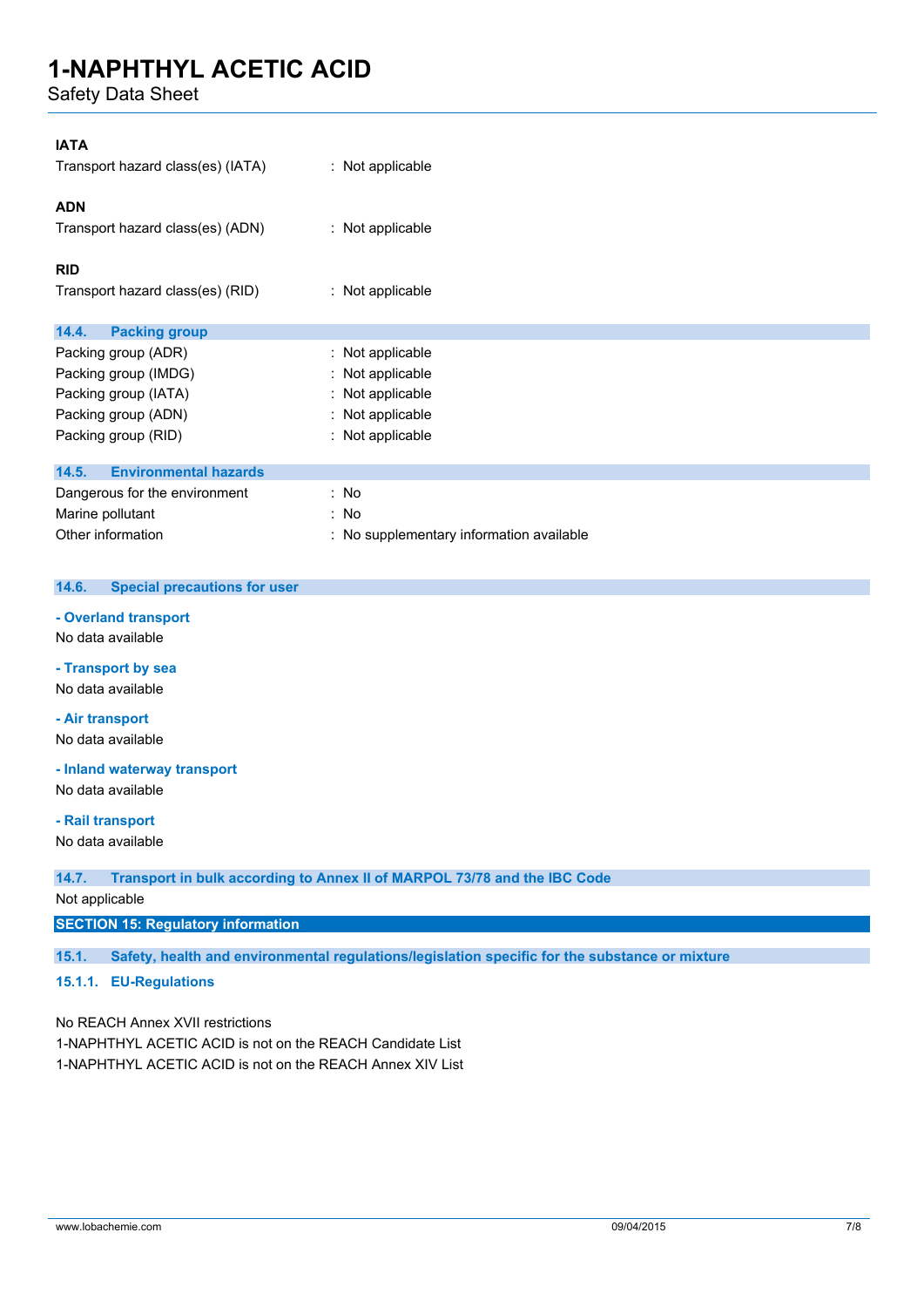Safety Data Sheet

| <b>IATA</b>                                  |                                          |
|----------------------------------------------|------------------------------------------|
| Transport hazard class(es) (IATA)            | : Not applicable                         |
| <b>ADN</b>                                   |                                          |
| Transport hazard class(es) (ADN)             | : Not applicable                         |
| <b>RID</b>                                   |                                          |
| Transport hazard class(es) (RID)             | : Not applicable                         |
| 14.4.<br><b>Packing group</b>                |                                          |
| Packing group (ADR)                          | : Not applicable                         |
| Packing group (IMDG)                         | Not applicable                           |
| Packing group (IATA)                         | Not applicable                           |
| Packing group (ADN)                          | : Not applicable                         |
| Packing group (RID)                          | : Not applicable                         |
| <b>Environmental hazards</b><br>14.5.        |                                          |
| Dangerous for the environment                | : No                                     |
| Marine pollutant                             | : No                                     |
| Other information                            | : No supplementary information available |
| 14.6.<br><b>Special precautions for user</b> |                                          |
|                                              |                                          |
| - Overland transport<br>No data available    |                                          |

**- Transport by sea**

No data available

**- Air transport**

No data available

**- Inland waterway transport**

No data available

**- Rail transport**

No data available

**14.7. Transport in bulk according to Annex II of MARPOL 73/78 and the IBC Code**

Not applicable

**SECTION 15: Regulatory information**

**15.1. Safety, health and environmental regulations/legislation specific for the substance or mixture**

**15.1.1. EU-Regulations**

No REACH Annex XVII restrictions 1-NAPHTHYL ACETIC ACID is not on the REACH Candidate List 1-NAPHTHYL ACETIC ACID is not on the REACH Annex XIV List